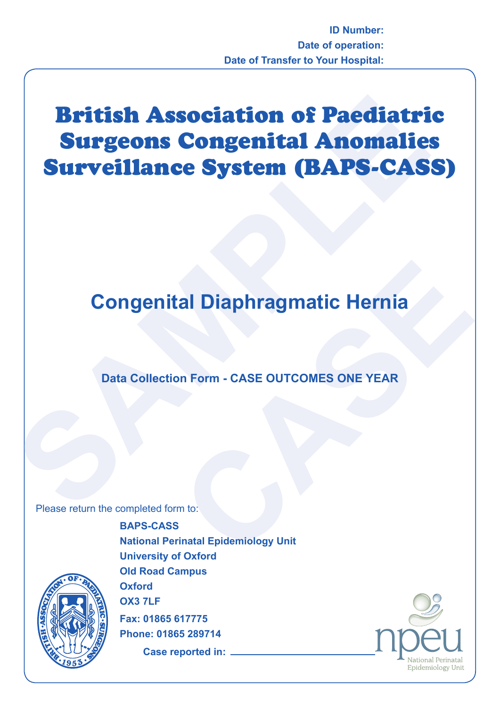## **British Association of Paediatri<br>
Surgeons Congenital Anomalie<br>
Surveillance System (BAPS-CAS<br>
Congenital Diaphragmatic Hernia<br>
Data Collection Form - CASE OUTCOMES ONE YEAR<br>
Please return the completed form to:** British Association of Paediatric Surgeons Congenital Anomalies Surveillance System (BAPS-CASS)

# **CASE OUTCOMES ONE YEAR**<br>
on Form - CASE OUTCOMES ONE YEAR<br>
m to:<br>
i<br>
f Outcrat **Congenital Diaphragmatic Hernia**

### **Data Collection Form - CASE OUTCOMES ONE YEAR**

Please return the completed form to:



**BAPS-CASS National Perinatal Epidemiology Unit University of Oxford Old Road Campus Oxford OX3 7LF Fax: 01865 617775 Phone: 01865 289714**

**Case reported in:**

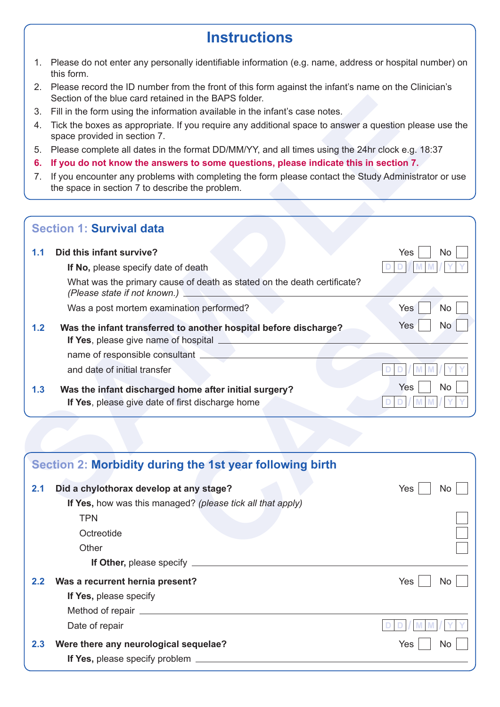## **Instructions**

- 1. Please do not enter any personally identifiable information (e.g. name, address or hospital number) on this form.
- 2. Please record the ID number from the front of this form against the infant's name on the Clinician's Section of the blue card retained in the BAPS folder.
- 3. Fill in the form using the information available in the infant's case notes.
- 4. Tick the boxes as appropriate. If you require any additional space to answer a question please use the space provided in section 7.
- 5. Please complete all dates in the format DD/MM/YY, and all times using the 24hr clock e.g. 18:37
- **6. If you do not know the answers to some questions, please indicate this in section 7.**
- 7. If you encounter any problems with completing the form please contact the Study Administrator or use the space in section 7 to describe the problem.

| 3.<br>4.<br>5.<br>6. | Fill in the form using the information available in the infant's case notes.                                                                            |                                                                                                                                        |  |  |
|----------------------|---------------------------------------------------------------------------------------------------------------------------------------------------------|----------------------------------------------------------------------------------------------------------------------------------------|--|--|
|                      |                                                                                                                                                         |                                                                                                                                        |  |  |
|                      |                                                                                                                                                         | Tick the boxes as appropriate. If you require any additional space to answer a question please use the<br>space provided in section 7. |  |  |
|                      | Please complete all dates in the format DD/MM/YY, and all times using the 24hr clock e.g. 18:37                                                         |                                                                                                                                        |  |  |
|                      | If you do not know the answers to some questions, please indicate this in section 7.                                                                    |                                                                                                                                        |  |  |
| 7.                   | If you encounter any problems with completing the form please contact the Study Administrator or use<br>the space in section 7 to describe the problem. |                                                                                                                                        |  |  |
|                      | <b>Section 1: Survival data</b>                                                                                                                         |                                                                                                                                        |  |  |
| 1.1                  | Did this infant survive?                                                                                                                                | Yes<br>No.                                                                                                                             |  |  |
|                      | If No, please specify date of death                                                                                                                     |                                                                                                                                        |  |  |
|                      | What was the primary cause of death as stated on the death certificate?<br>(Please state if not known.)                                                 |                                                                                                                                        |  |  |
|                      | Was a post mortem examination performed?                                                                                                                | Yes<br>No                                                                                                                              |  |  |
| 1.2                  | Was the infant transferred to another hospital before discharge?<br><b>If Yes</b> , please give name of hospital <u>expressional contract of</u>        | Yes<br>No                                                                                                                              |  |  |
|                      | name of responsible consultant <b>consultant</b>                                                                                                        |                                                                                                                                        |  |  |
|                      | and date of initial transfer                                                                                                                            |                                                                                                                                        |  |  |
| 1.3                  | Was the infant discharged home after initial surgery?                                                                                                   | Yes<br>No                                                                                                                              |  |  |
|                      | If Yes, please give date of first discharge home                                                                                                        |                                                                                                                                        |  |  |

|     | Section 2: Morbidity during the 1st year following birth   |            |
|-----|------------------------------------------------------------|------------|
| 2.1 | Did a chylothorax develop at any stage?                    | Yes<br>No  |
|     | If Yes, how was this managed? (please tick all that apply) |            |
|     | <b>TPN</b>                                                 |            |
|     | Octreotide                                                 |            |
|     | Other                                                      |            |
|     | If Other, please specify _________                         |            |
| 2.2 | Was a recurrent hernia present?                            | Yes<br>No  |
|     | If Yes, please specify                                     |            |
|     |                                                            |            |
|     | Date of repair                                             |            |
| 2.3 | Were there any neurological sequelae?                      | Yes<br>No. |
|     | If Yes, please specify problem _                           |            |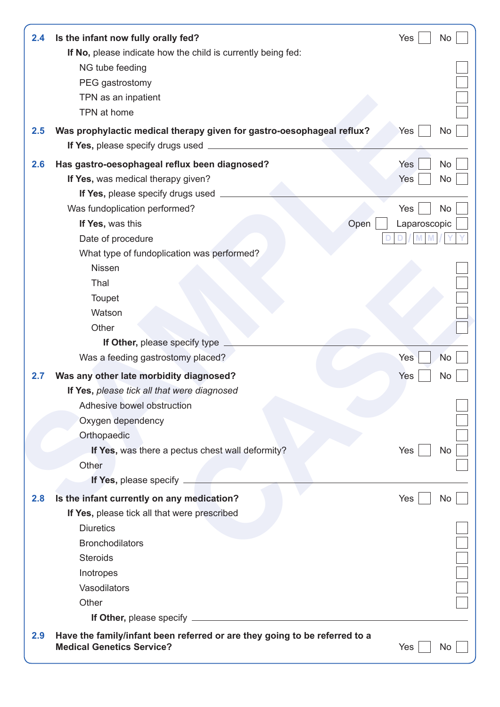| 2.4 | Is the infant now fully orally fed?<br>If No, please indicate how the child is currently being fed:            | Yes                  | No        |
|-----|----------------------------------------------------------------------------------------------------------------|----------------------|-----------|
|     | NG tube feeding                                                                                                |                      |           |
|     | PEG gastrostomy                                                                                                |                      |           |
|     | TPN as an inpatient                                                                                            |                      |           |
|     | TPN at home                                                                                                    |                      |           |
| 2.5 | Was prophylactic medical therapy given for gastro-oesophageal reflux?<br>If Yes, please specify drugs used     | Yes                  | No        |
| 2.6 | Has gastro-oesophageal reflux been diagnosed?                                                                  | Yes                  | No        |
|     | If Yes, was medical therapy given?                                                                             | Yes                  | No        |
|     | If Yes, please specify drugs used                                                                              |                      |           |
|     | Was fundoplication performed?                                                                                  | Yes                  | No        |
|     | If Yes, was this                                                                                               | Open<br>Laparoscopic |           |
|     | Date of procedure                                                                                              |                      |           |
|     | What type of fundoplication was performed?                                                                     |                      |           |
|     | <b>Nissen</b>                                                                                                  |                      |           |
|     | Thal                                                                                                           |                      |           |
|     | Toupet                                                                                                         |                      |           |
|     | Watson                                                                                                         |                      |           |
|     | Other                                                                                                          |                      |           |
|     | If Other, please specify type                                                                                  |                      |           |
|     | Was a feeding gastrostomy placed?                                                                              | Yes                  | <b>No</b> |
| 2.7 | Was any other late morbidity diagnosed?                                                                        | Yes                  | No        |
|     | If Yes, please tick all that were diagnosed                                                                    |                      |           |
|     | Adhesive bowel obstruction                                                                                     |                      |           |
|     | Oxygen dependency                                                                                              |                      |           |
|     | Orthopaedic                                                                                                    |                      |           |
|     | If Yes, was there a pectus chest wall deformity?                                                               | Yes                  | No        |
|     | Other                                                                                                          |                      |           |
|     | If Yes, please specify _                                                                                       |                      |           |
| 2.8 | Is the infant currently on any medication?                                                                     | <b>Yes</b>           | No        |
|     | If Yes, please tick all that were prescribed                                                                   |                      |           |
|     | <b>Diuretics</b>                                                                                               |                      |           |
|     | <b>Bronchodilators</b>                                                                                         |                      |           |
|     | <b>Steroids</b>                                                                                                |                      |           |
|     | Inotropes                                                                                                      |                      |           |
|     | Vasodilators                                                                                                   |                      |           |
|     | Other                                                                                                          |                      |           |
|     |                                                                                                                |                      |           |
| 2.9 | Have the family/infant been referred or are they going to be referred to a<br><b>Medical Genetics Service?</b> | Yes                  | No        |